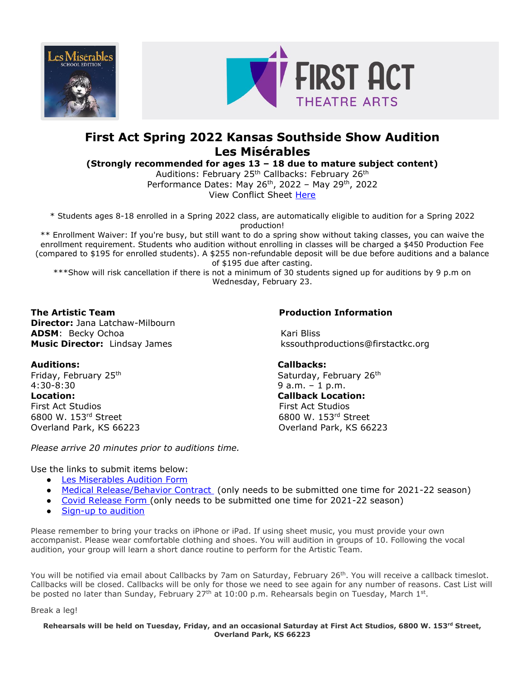



# **First Act Spring 2022 Kansas Southside Show Audition Les Misérables**

**(Strongly recommended for ages 13 – 18 due to mature subject content)**

Auditions: February 25<sup>th</sup> Callbacks: February 26<sup>th</sup> Performance Dates: May  $26<sup>th</sup>$ , 2022 – May  $29<sup>th</sup>$ , 2022 View Conflict Sheet [Here](https://firstactkc.org/wp-content/uploads/sites/12/2022/01/Les-Miserables-Conflict-Sheet-1.pdf)

\* Students ages 8-18 enrolled in a Spring 2022 class, are automatically eligible to audition for a Spring 2022 production!

\*\* Enrollment Waiver: If you're busy, but still want to do a spring show without taking classes, you can waive the enrollment requirement. Students who audition without enrolling in classes will be charged a \$450 Production Fee (compared to \$195 for enrolled students). A \$255 non-refundable deposit will be due before auditions and a balance of \$195 due after casting.

\*\*\*Show will risk cancellation if there is not a minimum of 30 students signed up for auditions by 9 p.m on Wednesday, February 23.

**The Artistic Team Production Information Director:** Jana Latchaw-Milbourn **ADSM**: Becky Ochoa Kari Bliss

**Music Director:** Lindsay James kssouthproductions@firstactkc.org

# **Auditions: Callbacks:**

Friday, February 25<sup>th</sup> Saturday, February 26<sup>th</sup> Saturday, February 26<sup>th</sup> 4:30-8:30 9 a.m. – 1 p.m. **Location: Callback Location:** First Act Studios First Act Studios 6800 W. 153rd Street 6800 W. 153rd Street Overland Park, KS 66223 Overland Park, KS 66223

*Please arrive 20 minutes prior to auditions time.* 

Use the links to submit items below:

- [Les Miserables](https://form.jotform.com/213465031201136) Audition Form
- [Medical Release/Behavior Contract](https://form.jotform.com/212006233004131) (only needs to be submitted one time for 2021-22 season)
- [Covid Release Form](https://form.jotform.com/212017082061138) (only needs to be submitted one time for 2021-22 season)
- [Sign-up to audition](https://www.signupgenius.com/go/10C0D4FA8AD22A3F58-lesmisrables)

Please remember to bring your tracks on iPhone or iPad. If using sheet music, you must provide your own accompanist. Please wear comfortable clothing and shoes. You will audition in groups of 10. Following the vocal audition, your group will learn a short dance routine to perform for the Artistic Team.

You will be notified via email about Callbacks by 7am on Saturday, February 26<sup>th</sup>. You will receive a callback timeslot. Callbacks will be closed. Callbacks will be only for those we need to see again for any number of reasons. Cast List will be posted no later than Sunday, February 27<sup>th</sup> at 10:00 p.m. Rehearsals begin on Tuesday, March 1st.

Break a leg!

## **Rehearsals will be held on Tuesday, Friday, and an occasional Saturday at First Act Studios, 6800 W. 153rd Street, Overland Park, KS 66223**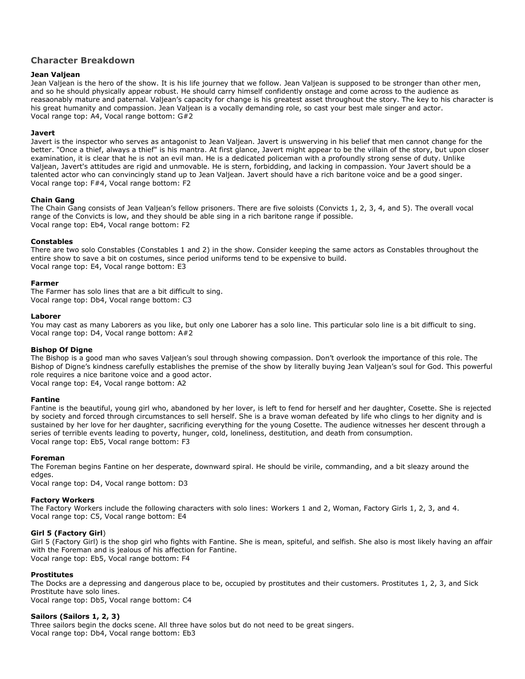# **Character Breakdown**

#### **Jean Valjean**

Jean Valjean is the hero of the show. It is his life journey that we follow. Jean Valjean is supposed to be stronger than other men, and so he should physically appear robust. He should carry himself confidently onstage and come across to the audience as reasaonably mature and paternal. Valjean's capacity for change is his greatest asset throughout the story. The key to his character is his great humanity and compassion. Jean Valjean is a vocally demanding role, so cast your best male singer and actor. Vocal range top: A4, Vocal range bottom: G#2

#### **Javert**

Javert is the inspector who serves as antagonist to Jean Valjean. Javert is unswerving in his belief that men cannot change for the better. "Once a thief, always a thief" is his mantra. At first glance, Javert might appear to be the villain of the story, but upon closer examination, it is clear that he is not an evil man. He is a dedicated policeman with a profoundly strong sense of duty. Unlike Valjean, Javert's attitudes are rigid and unmovable. He is stern, forbidding, and lacking in compassion. Your Javert should be a talented actor who can convincingly stand up to Jean Valjean. Javert should have a rich baritone voice and be a good singer. Vocal range top: F#4, Vocal range bottom: F2

#### **Chain Gang**

The Chain Gang consists of Jean Valjean's fellow prisoners. There are five soloists (Convicts 1, 2, 3, 4, and 5). The overall vocal range of the Convicts is low, and they should be able sing in a rich baritone range if possible. Vocal range top: Eb4, Vocal range bottom: F2

#### **Constables**

There are two solo Constables (Constables 1 and 2) in the show. Consider keeping the same actors as Constables throughout the entire show to save a bit on costumes, since period uniforms tend to be expensive to build. Vocal range top: E4, Vocal range bottom: E3

#### **Farmer**

The Farmer has solo lines that are a bit difficult to sing. Vocal range top: Db4, Vocal range bottom: C3

#### **Laborer**

You may cast as many Laborers as you like, but only one Laborer has a solo line. This particular solo line is a bit difficult to sing. Vocal range top: D4, Vocal range bottom: A#2

#### **Bishop Of Digne**

The Bishop is a good man who saves Valjean's soul through showing compassion. Don't overlook the importance of this role. The Bishop of Digne's kindness carefully establishes the premise of the show by literally buying Jean Valjean's soul for God. This powerful role requires a nice baritone voice and a good actor. Vocal range top: E4, Vocal range bottom: A2

#### **Fantine**

Fantine is the beautiful, young girl who, abandoned by her lover, is left to fend for herself and her daughter, Cosette. She is rejected by society and forced through circumstances to sell herself. She is a brave woman defeated by life who clings to her dignity and is sustained by her love for her daughter, sacrificing everything for the young Cosette. The audience witnesses her descent through a series of terrible events leading to poverty, hunger, cold, loneliness, destitution, and death from consumption. Vocal range top: Eb5, Vocal range bottom: F3

#### **Foreman**

The Foreman begins Fantine on her desperate, downward spiral. He should be virile, commanding, and a bit sleazy around the edges.

Vocal range top: D4, Vocal range bottom: D3

#### **Factory Workers**

The Factory Workers include the following characters with solo lines: Workers 1 and 2, Woman, Factory Girls 1, 2, 3, and 4. Vocal range top: C5, Vocal range bottom: E4

#### **Girl 5 (Factory Girl**)

Girl 5 (Factory Girl) is the shop girl who fights with Fantine. She is mean, spiteful, and selfish. She also is most likely having an affair with the Foreman and is jealous of his affection for Fantine. Vocal range top: Eb5, Vocal range bottom: F4

#### **Prostitutes**

The Docks are a depressing and dangerous place to be, occupied by prostitutes and their customers. Prostitutes 1, 2, 3, and Sick Prostitute have solo lines. Vocal range top: Db5, Vocal range bottom: C4

**Sailors (Sailors 1, 2, 3)**  Three sailors begin the docks scene. All three have solos but do not need to be great singers. Vocal range top: Db4, Vocal range bottom: Eb3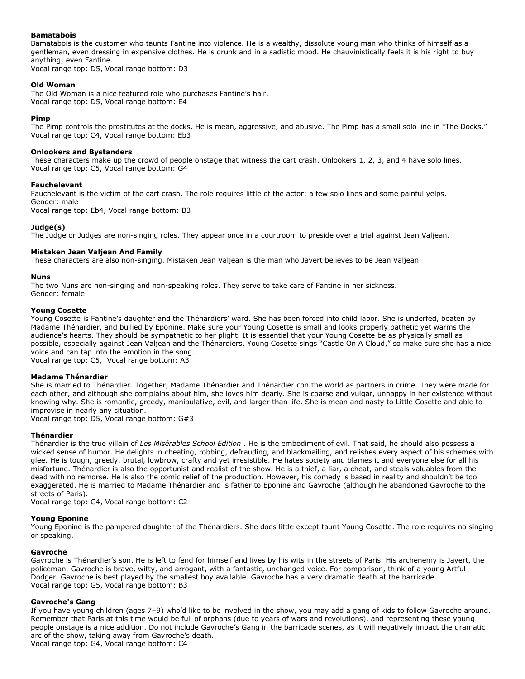#### **Bamatabois**

Bamatabois is the customer who taunts Fantine into violence. He is a wealthy, dissolute young man who thinks of himself as a gentleman, even dressing in expensive clothes. He is drunk and in a sadistic mood. He chauvinistically feels it is his right to buy anything, even Fantine.

Vocal range top: D5, Vocal range bottom: D3

#### **Old Woman**

The Old Woman is a nice featured role who purchases Fantine's hair. Vocal range top: D5, Vocal range bottom: E4

### **Pimp**

The Pimp controls the prostitutes at the docks. He is mean, aggressive, and abusive. The Pimp has a small solo line in "The Docks." Vocal range top: C4, Vocal range bottom: Eb3

#### **Onlookers and Bystanders**

These characters make up the crowd of people onstage that witness the cart crash. Onlookers 1, 2, 3, and 4 have solo lines. Vocal range top: C5, Vocal range bottom: G4

### **Fauchelevant**

Fauchelevant is the victim of the cart crash. The role requires little of the actor: a few solo lines and some painful yelps. Gender: male

Vocal range top: Eb4, Vocal range bottom: B3

### **Judge(s)**

The Judge or Judges are non-singing roles. They appear once in a courtroom to preside over a trial against Jean Valjean.

### **Mistaken Jean Valjean And Family**

These characters are also non-singing. Mistaken Jean Valjean is the man who Javert believes to be Jean Valjean.

#### **Nuns**

The two Nuns are non-singing and non-speaking roles. They serve to take care of Fantine in her sickness. Gender: female

#### **Young Cosette**

Young Cosette is Fantine's daughter and the Thénardiers' ward. She has been forced into child labor. She is underfed, beaten by Madame Thénardier, and bullied by Eponine. Make sure your Young Cosette is small and looks properly pathetic yet warms the audience's hearts. They should be sympathetic to her plight. It is essential that your Young Cosette be as physically small as possible, especially against Jean Valjean and the Thénardiers. Young Cosette sings "Castle On A Cloud," so make sure she has a nice voice and can tap into the emotion in the song.

Vocal range top: C5, Vocal range bottom: A3

#### **Madame Thénardier**

She is married to Thénardier. Together, Madame Thénardier and Thénardier con the world as partners in crime. They were made for each other, and although she complains about him, she loves him dearly. She is coarse and vulgar, unhappy in her existence without knowing why. She is romantic, greedy, manipulative, evil, and larger than life. She is mean and nasty to Little Cosette and able to improvise in nearly any situation.

Vocal range top: D5, Vocal range bottom: G#3

#### **Thénardier**

Thénardier is the true villain of *Les Misérables School Edition* . He is the embodiment of evil. That said, he should also possess a wicked sense of humor. He delights in cheating, robbing, defrauding, and blackmailing, and relishes every aspect of his schemes with glee. He is tough, greedy, brutal, lowbrow, crafty and yet irresistible. He hates society and blames it and everyone else for all his misfortune. Thénardier is also the opportunist and realist of the show. He is a thief, a liar, a cheat, and steals valuables from the dead with no remorse. He is also the comic relief of the production. However, his comedy is based in reality and shouldn't be too exaggerated. He is married to Madame Thénardier and is father to Eponine and Gavroche (although he abandoned Gavroche to the streets of Paris).

Vocal range top: G4, Vocal range bottom: C2

#### **Young Eponine**

Young Eponine is the pampered daughter of the Thénardiers. She does little except taunt Young Cosette. The role requires no singing or speaking.

#### **Gavroche**

Gavroche is Thénardier's son. He is left to fend for himself and lives by his wits in the streets of Paris. His archenemy is Javert, the policeman. Gavroche is brave, witty, and arrogant, with a fantastic, unchanged voice. For comparison, think of a young Artful Dodger. Gavroche is best played by the smallest boy available. Gavroche has a very dramatic death at the barricade. Vocal range top: G5, Vocal range bottom: B3

#### **Gavroche's Gang**

If you have young children (ages 7–9) who'd like to be involved in the show, you may add a gang of kids to follow Gavroche around. Remember that Paris at this time would be full of orphans (due to years of wars and revolutions), and representing these young people onstage is a nice addition. Do not include Gavroche's Gang in the barricade scenes, as it will negatively impact the dramatic arc of the show, taking away from Gavroche's death.

Vocal range top: G4, Vocal range bottom: C4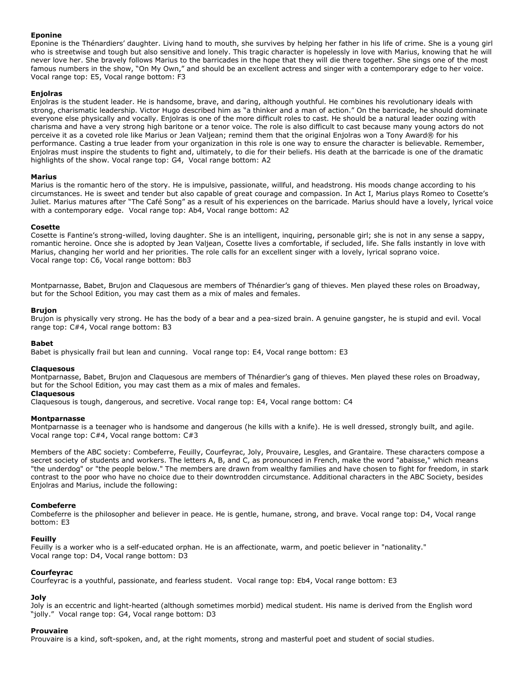### **Eponine**

Eponine is the Thénardiers' daughter. Living hand to mouth, she survives by helping her father in his life of crime. She is a young girl who is streetwise and tough but also sensitive and lonely. This tragic character is hopelessly in love with Marius, knowing that he will never love her. She bravely follows Marius to the barricades in the hope that they will die there together. She sings one of the most famous numbers in the show, "On My Own," and should be an excellent actress and singer with a contemporary edge to her voice. Vocal range top: E5, Vocal range bottom: F3

### **Enjolras**

Enjolras is the student leader. He is handsome, brave, and daring, although youthful. He combines his revolutionary ideals with strong, charismatic leadership. Victor Hugo described him as "a thinker and a man of action." On the barricade, he should dominate everyone else physically and vocally. Enjolras is one of the more difficult roles to cast. He should be a natural leader oozing with charisma and have a very strong high baritone or a tenor voice. The role is also difficult to cast because many young actors do not perceive it as a coveted role like Marius or Jean Valjean; remind them that the original Enjolras won a Tony Award® for his performance. Casting a true leader from your organization in this role is one way to ensure the character is believable. Remember, Enjolras must inspire the students to fight and, ultimately, to die for their beliefs. His death at the barricade is one of the dramatic highlights of the show. Vocal range top: G4, Vocal range bottom: A2

#### **Marius**

Marius is the romantic hero of the story. He is impulsive, passionate, willful, and headstrong. His moods change according to his circumstances. He is sweet and tender but also capable of great courage and compassion. In Act I, Marius plays Romeo to Cosette's Juliet. Marius matures after "The Café Song" as a result of his experiences on the barricade. Marius should have a lovely, lyrical voice with a contemporary edge. Vocal range top: Ab4, Vocal range bottom: A2

#### **Cosette**

Cosette is Fantine's strong-willed, loving daughter. She is an intelligent, inquiring, personable girl; she is not in any sense a sappy, romantic heroine. Once she is adopted by Jean Valjean, Cosette lives a comfortable, if secluded, life. She falls instantly in love with Marius, changing her world and her priorities. The role calls for an excellent singer with a lovely, lyrical soprano voice. Vocal range top: C6, Vocal range bottom: Bb3

Montparnasse, Babet, Brujon and Claquesous are members of Thénardier's gang of thieves. Men played these roles on Broadway, but for the School Edition, you may cast them as a mix of males and females.

#### **Brujon**

Brujon is physically very strong. He has the body of a bear and a pea-sized brain. A genuine gangster, he is stupid and evil. Vocal range top: C#4, Vocal range bottom: B3

#### **Babet**

Babet is physically frail but lean and cunning. Vocal range top: E4, Vocal range bottom: E3

#### **Claquesous**

Montparnasse, Babet, Brujon and Claquesous are members of Thénardier's gang of thieves. Men played these roles on Broadway, but for the School Edition, you may cast them as a mix of males and females.

# **Claquesous**

Claquesous is tough, dangerous, and secretive. Vocal range top: E4, Vocal range bottom: C4

#### **Montparnasse**

Montparnasse is a teenager who is handsome and dangerous (he kills with a knife). He is well dressed, strongly built, and agile. Vocal range top: C#4, Vocal range bottom: C#3

Members of the ABC society: Combeferre, Feuilly, Courfeyrac, Joly, Prouvaire, Lesgles, and Grantaire. These characters compose a secret society of students and workers. The letters A, B, and C, as pronounced in French, make the word "abaisse," which means "the underdog" or "the people below." The members are drawn from wealthy families and have chosen to fight for freedom, in stark contrast to the poor who have no choice due to their downtrodden circumstance. Additional characters in the ABC Society, besides Enjolras and Marius, include the following:

#### **Combeferre**

Combeferre is the philosopher and believer in peace. He is gentle, humane, strong, and brave. Vocal range top: D4, Vocal range bottom: E3

#### **Feuilly**

Feuilly is a worker who is a self-educated orphan. He is an affectionate, warm, and poetic believer in "nationality." Vocal range top: D4, Vocal range bottom: D3

#### **Courfeyrac**

Courfeyrac is a youthful, passionate, and fearless student. Vocal range top: Eb4, Vocal range bottom: E3

# **Joly**

Joly is an eccentric and light-hearted (although sometimes morbid) medical student. His name is derived from the English word "jolly." Vocal range top: G4, Vocal range bottom: D3

#### **Prouvaire**

Prouvaire is a kind, soft-spoken, and, at the right moments, strong and masterful poet and student of social studies.